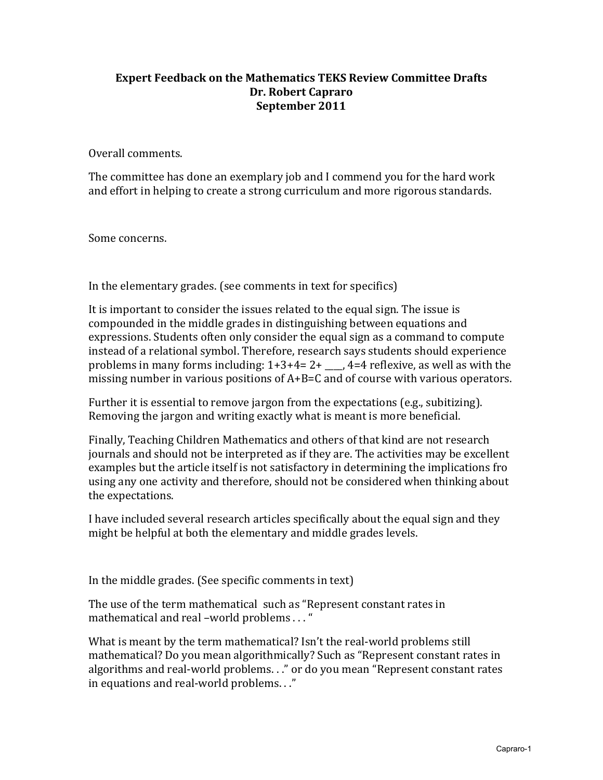## **Expert Feedback on the Mathematics TEKS Review Committee Drafts Dr. Robert Capraro September 2011**

Overall comments.

The committee has done an exemplary job and I commend you for the hard work and effort in helping to create a strong curriculum and more rigorous standards.

Some concerns.

In the elementary grades. (see comments in text for specifics)

It is important to consider the issues related to the equal sign. The issue is compounded in the middle grades in distinguishing between equations and expressions. Students often only consider the equal sign as a command to compute instead of a relational symbol. Therefore, research says students should experience problems in many forms including:  $1+3+4=2+$   $\qquad \qquad$  4=4 reflexive, as well as with the missing number in various positions of  $A + B = C$  and of course with various operators.

Further it is essential to remove jargon from the expectations (e.g., subitizing). Removing the jargon and writing exactly what is meant is more beneficial.

Finally, Teaching Children Mathematics and others of that kind are not research journals and should not be interpreted as if they are. The activities may be excellent examples but the article itself is not satisfactory in determining the implications fro using any one activity and therefore, should not be considered when thinking about the expectations.

I have included several research articles specifically about the equal sign and they might be helpful at both the elementary and middle grades levels.

In the middle grades. (See specific comments in text)

The use of the term mathematical such as "Represent constant rates in mathematical and real –world problems . . . "

What is meant by the term mathematical? Isn't the real-world problems still mathematical? Do you mean algorithmically? Such as "Represent constant rates in algorithms and real-world problems. . ." or do you mean "Represent constant rates in equations and real-world problems. . ."